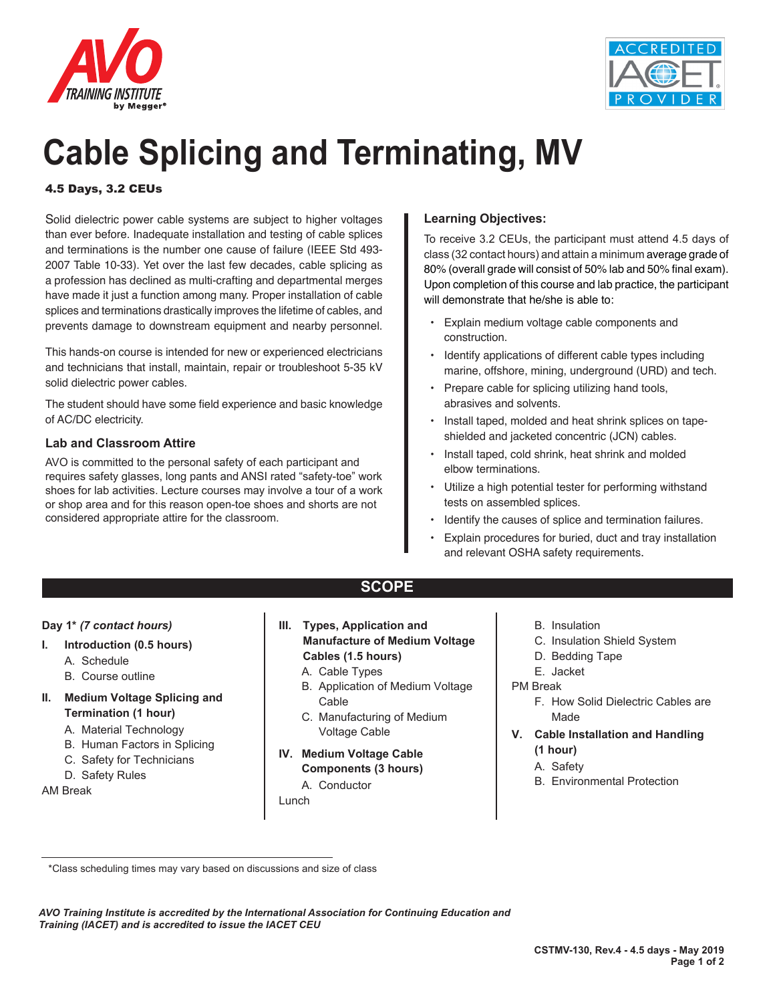



# **Cable Splicing and Terminating, MV**

### 4.5 Days, 3.2 CEUs

Solid dielectric power cable systems are subject to higher voltages than ever before. Inadequate installation and testing of cable splices and terminations is the number one cause of failure (IEEE Std 493- 2007 Table 10-33). Yet over the last few decades, cable splicing as a profession has declined as multi-crafting and departmental merges have made it just a function among many. Proper installation of cable splices and terminations drastically improves the lifetime of cables, and prevents damage to downstream equipment and nearby personnel.

This hands-on course is intended for new or experienced electricians and technicians that install, maintain, repair or troubleshoot 5-35 kV solid dielectric power cables.

The student should have some field experience and basic knowledge of AC/DC electricity.

#### **Lab and Classroom Attire**

AVO is committed to the personal safety of each participant and requires safety glasses, long pants and ANSI rated "safety-toe" work shoes for lab activities. Lecture courses may involve a tour of a work or shop area and for this reason open-toe shoes and shorts are not considered appropriate attire for the classroom.

#### **Learning Objectives:**

To receive 3.2 CEUs, the participant must attend 4.5 days of class (32 contact hours) and attain a minimum average grade of 80% (overall grade will consist of 50% lab and 50% final exam). Upon completion of this course and lab practice, the participant will demonstrate that he/she is able to:

- Explain medium voltage cable components and construction.
- Identify applications of different cable types including marine, offshore, mining, underground (URD) and tech.
- Prepare cable for splicing utilizing hand tools, abrasives and solvents.
- Install taped, molded and heat shrink splices on tapeshielded and jacketed concentric (JCN) cables.
- Install taped, cold shrink, heat shrink and molded elbow terminations.
- Utilize a high potential tester for performing withstand tests on assembled splices.
- Identify the causes of splice and termination failures.
- Explain procedures for buried, duct and tray installation and relevant OSHA safety requirements.

# **SCOPE**

#### **Day 1\*** *(7 contact hours)*

- **I. Introduction (0.5 hours)**
	- A. Schedule
	- B. Course outline
- **II. Medium Voltage Splicing and Termination (1 hour)**
	- A. Material Technology
	- B. Human Factors in Splicing
	- C. Safety for Technicians
	- D. Safety Rules

AM Break

- **III. Types, Application and Manufacture of Medium Voltage Cables (1.5 hours)**
	- A. Cable Types
	- B. Application of Medium Voltage Cable
	- C. Manufacturing of Medium Voltage Cable
- **IV. Medium Voltage Cable Components (3 hours)**

#### A. Conductor

Lunch

- B. Insulation
- C. Insulation Shield System
- D. Bedding Tape
- E. Jacket

#### PM Break

- F. How Solid Dielectric Cables are Made
- **V. Cable Installation and Handling (1 hour)**
	- A. Safety
	- B. Environmental Protection

*AVO Training Institute is accredited by the International Association for Continuing Education and Training (IACET) and is accredited to issue the IACET CEU*

 <sup>\*</sup>Class scheduling times may vary based on discussions and size of class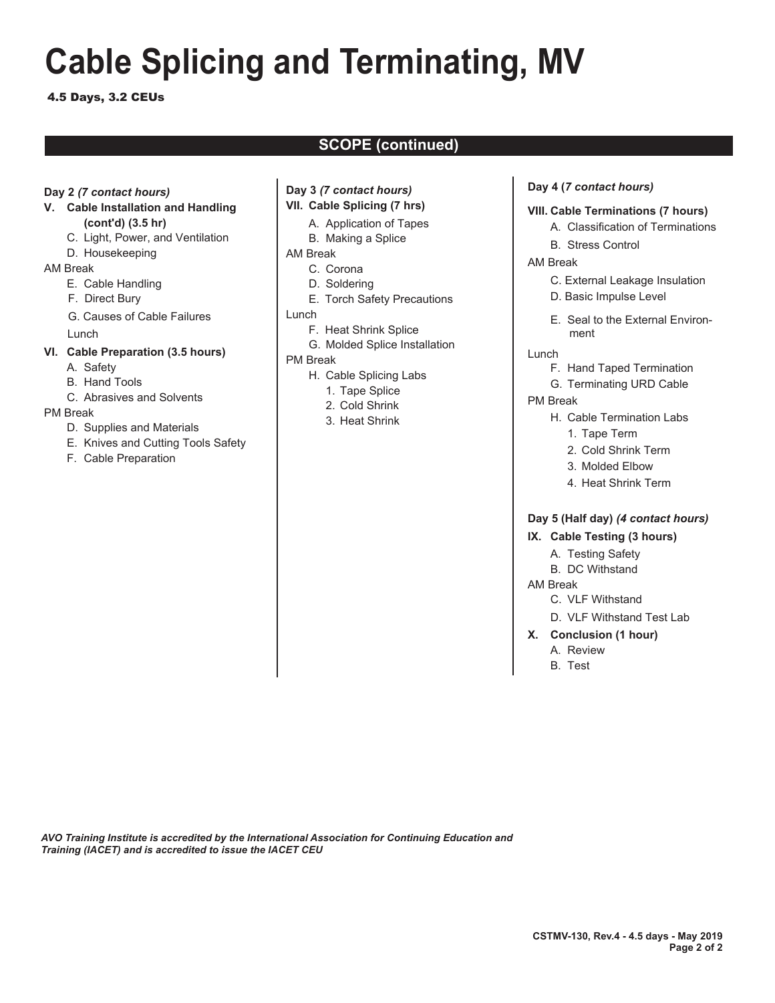# **Cable Splicing and Terminating, MV**

#### 4.5 Days, 3.2 CEUs

# **SCOPE (continued)**

#### **Day 2** *(7 contact hours)*

#### **V. Cable Installation and Handling (cont'd) (3.5 hr)**

- C. Light, Power, and Ventilation
- D. Housekeeping

#### AM Break

- E. Cable Handling
- F. Direct Bury
- G. Causes of Cable Failures
- Lunch

#### **VI. Cable Preparation (3.5 hours)**

- A. Safety
- B. Hand Tools
- C. Abrasives and Solvents

#### PM Break

- D. Supplies and Materials
- E. Knives and Cutting Tools Safety
- F. Cable Preparation

#### **Day 3** *(7 contact hours)*

- **VII. Cable Splicing (7 hrs)**
	- A. Application of Tapes
	- B. Making a Splice

#### AM Break

- C. Corona
- D. Soldering
- E. Torch Safety Precautions
- Lunch
	- F. Heat Shrink Splice
	- G. Molded Splice Installation

#### PM Break

- H. Cable Splicing Labs
	- 1. Tape Splice
	- 2. Cold Shrink
	- 3. Heat Shrink

#### **Day 4 (***7 contact hours)*

#### **VIII. Cable Terminations (7 hours)**

- A. Classification of Terminations
- B. Stress Control

#### AM Break

- C. External Leakage Insulation
- D. Basic Impulse Level
- E. Seal to the External Environment
- Lunch
	- F. Hand Taped Termination
	- G. Terminating URD Cable
- PM Break
	- H. Cable Termination Labs
		- 1. Tape Term
		- 2. Cold Shrink Term
		- 3. Molded Elbow
		- 4. Heat Shrink Term

#### **Day 5 (Half day)** *(4 contact hours)*

#### **IX. Cable Testing (3 hours)**

- A. Testing Safety
- B. DC Withstand

#### AM Break

- C. VLF Withstand
- D. VLF Withstand Test Lab
- **X. Conclusion (1 hour)**
	- A. Review
	- B. Test

*AVO Training Institute is accredited by the International Association for Continuing Education and Training (IACET) and is accredited to issue the IACET CEU*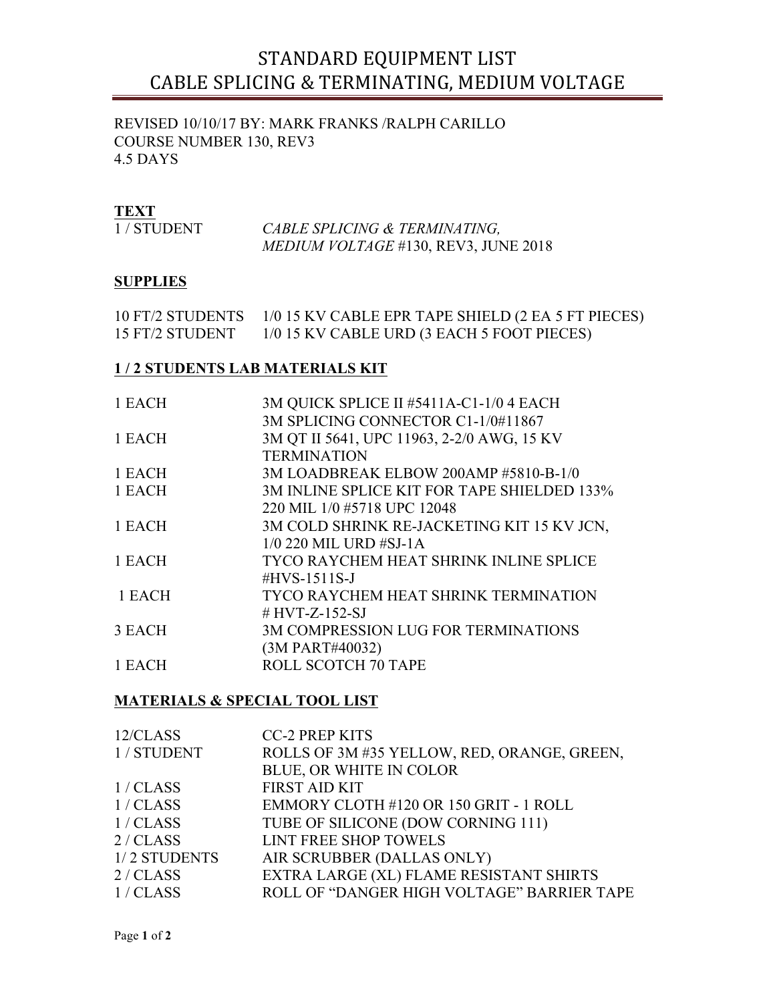# STANDARD EQUIPMENT LIST CABLE SPLICING & TERMINATING, MEDIUM VOLTAGE

REVISED 10/10/17 BY: MARK FRANKS /RALPH CARILLO COURSE NUMBER 130, REV3 4.5 DAYS

# **TEXT**

| 1/STUDENT | CABLE SPLICING & TERMINATING,               |
|-----------|---------------------------------------------|
|           | <i>MEDIUM VOLTAGE</i> #130, REV3, JUNE 2018 |

# **SUPPLIES**

| <b>10 FT/2 STUDENTS</b> | 1/0 15 KV CABLE EPR TAPE SHIELD (2 EA 5 FT PIECES) |
|-------------------------|----------------------------------------------------|
| 15 FT/2 STUDENT         | 1/0 15 KV CABLE URD (3 EACH 5 FOOT PIECES)         |

### **1 / 2 STUDENTS LAB MATERIALS KIT**

| 1 EACH | 3M QUICK SPLICE II #5411A-C1-1/0 4 EACH     |
|--------|---------------------------------------------|
|        | 3M SPLICING CONNECTOR C1-1/0#11867          |
| 1 EACH | 3M QT II 5641, UPC 11963, 2-2/0 AWG, 15 KV  |
|        | <b>TERMINATION</b>                          |
| 1 EACH | 3M LOADBREAK ELBOW 200AMP #5810-B-1/0       |
| 1 EACH | 3M INLINE SPLICE KIT FOR TAPE SHIELDED 133% |
|        | 220 MIL 1/0 #5718 UPC 12048                 |
| 1 EACH | 3M COLD SHRINK RE-JACKETING KIT 15 KV JCN,  |
|        | 1/0 220 MIL URD #SJ-1A                      |
| 1 EACH | TYCO RAYCHEM HEAT SHRINK INLINE SPLICE      |
|        | $\#HVS-1511S-J$                             |
| 1 EACH | TYCO RAYCHEM HEAT SHRINK TERMINATION        |
|        | # HVT-Z-152-SJ                              |
| 3 EACH | <b>3M COMPRESSION LUG FOR TERMINATIONS</b>  |
|        | (3M PART#40032)                             |
| 1 EACH | ROLL SCOTCH 70 TAPE                         |
|        |                                             |

# **MATERIALS & SPECIAL TOOL LIST**

| 12/CLASS     | <b>CC-2 PREP KITS</b>                       |
|--------------|---------------------------------------------|
| 1 / STUDENT  | ROLLS OF 3M #35 YELLOW, RED, ORANGE, GREEN, |
|              | <b>BLUE, OR WHITE IN COLOR</b>              |
| 1/CLAS       | <b>FIRST AID KIT</b>                        |
| 1/CLAS       | EMMORY CLOTH #120 OR 150 GRIT - 1 ROLL      |
| 1/CLAS       | TUBE OF SILICONE (DOW CORNING 111)          |
| 2 / CLASS    | <b>LINT FREE SHOP TOWELS</b>                |
| 1/2 STUDENTS | AIR SCRUBBER (DALLAS ONLY)                  |
| 2 / CLASS    | EXTRA LARGE (XL) FLAME RESISTANT SHIRTS     |
| 1/CLAS       | ROLL OF "DANGER HIGH VOLTAGE" BARRIER TAPE  |